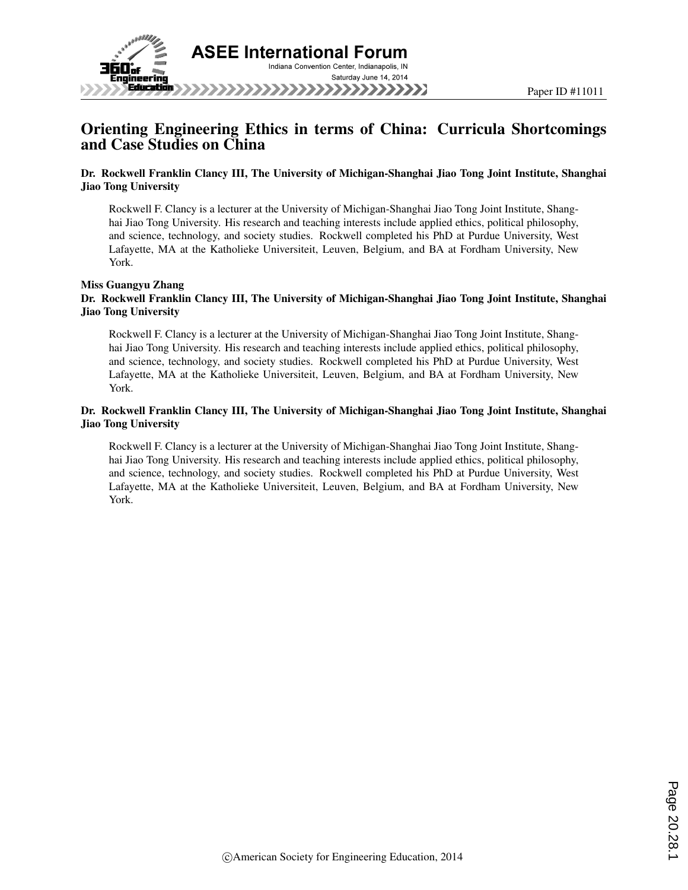

# Orienting Engineering Ethics in terms of China: Curricula Shortcomings and Case Studies on China

#### Dr. Rockwell Franklin Clancy III, The University of Michigan-Shanghai Jiao Tong Joint Institute, Shanghai Jiao Tong University

Rockwell F. Clancy is a lecturer at the University of Michigan-Shanghai Jiao Tong Joint Institute, Shanghai Jiao Tong University. His research and teaching interests include applied ethics, political philosophy, and science, technology, and society studies. Rockwell completed his PhD at Purdue University, West Lafayette, MA at the Katholieke Universiteit, Leuven, Belgium, and BA at Fordham University, New York.

#### Miss Guangyu Zhang Dr. Rockwell Franklin Clancy III, The University of Michigan-Shanghai Jiao Tong Joint Institute, Shanghai Jiao Tong University

Rockwell F. Clancy is a lecturer at the University of Michigan-Shanghai Jiao Tong Joint Institute, Shanghai Jiao Tong University. His research and teaching interests include applied ethics, political philosophy, and science, technology, and society studies. Rockwell completed his PhD at Purdue University, West Lafayette, MA at the Katholieke Universiteit, Leuven, Belgium, and BA at Fordham University, New York.

### Dr. Rockwell Franklin Clancy III, The University of Michigan-Shanghai Jiao Tong Joint Institute, Shanghai Jiao Tong University

Rockwell F. Clancy is a lecturer at the University of Michigan-Shanghai Jiao Tong Joint Institute, Shanghai Jiao Tong University. His research and teaching interests include applied ethics, political philosophy, and science, technology, and society studies. Rockwell completed his PhD at Purdue University, West Lafayette, MA at the Katholieke Universiteit, Leuven, Belgium, and BA at Fordham University, New York.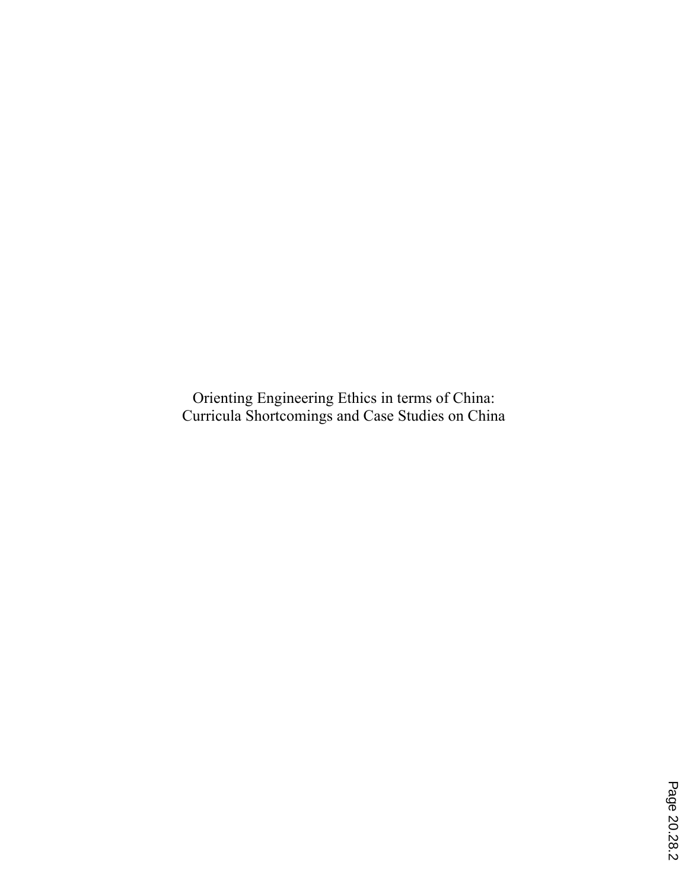Orienting Engineering Ethics in terms of China: Curricula Shortcomings and Case Studies on China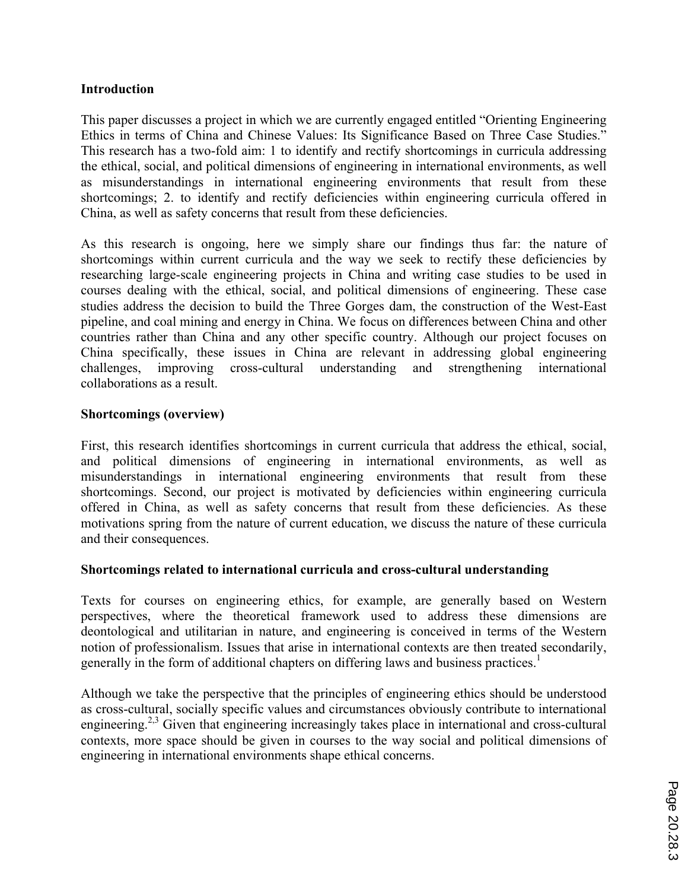### **Introduction**

This paper discusses a project in which we are currently engaged entitled "Orienting Engineering Ethics in terms of China and Chinese Values: Its Significance Based on Three Case Studies." This research has a two-fold aim: 1 to identify and rectify shortcomings in curricula addressing the ethical, social, and political dimensions of engineering in international environments, as well as misunderstandings in international engineering environments that result from these shortcomings; 2. to identify and rectify deficiencies within engineering curricula offered in China, as well as safety concerns that result from these deficiencies.

As this research is ongoing, here we simply share our findings thus far: the nature of shortcomings within current curricula and the way we seek to rectify these deficiencies by researching large-scale engineering projects in China and writing case studies to be used in courses dealing with the ethical, social, and political dimensions of engineering. These case studies address the decision to build the Three Gorges dam, the construction of the West-East pipeline, and coal mining and energy in China. We focus on differences between China and other countries rather than China and any other specific country. Although our project focuses on China specifically, these issues in China are relevant in addressing global engineering challenges, improving cross-cultural understanding and strengthening international collaborations as a result.

## **Shortcomings (overview)**

First, this research identifies shortcomings in current curricula that address the ethical, social, and political dimensions of engineering in international environments, as well as misunderstandings in international engineering environments that result from these shortcomings. Second, our project is motivated by deficiencies within engineering curricula offered in China, as well as safety concerns that result from these deficiencies. As these motivations spring from the nature of current education, we discuss the nature of these curricula and their consequences.

### **Shortcomings related to international curricula and cross-cultural understanding**

Texts for courses on engineering ethics, for example, are generally based on Western perspectives, where the theoretical framework used to address these dimensions are deontological and utilitarian in nature, and engineering is conceived in terms of the Western notion of professionalism. Issues that arise in international contexts are then treated secondarily, generally in the form of additional chapters on differing laws and business practices.<sup>1</sup>

Although we take the perspective that the principles of engineering ethics should be understood as cross-cultural, socially specific values and circumstances obviously contribute to international engineering.<sup>2,3</sup> Given that engineering increasingly takes place in international and cross-cultural contexts, more space should be given in courses to the way social and political dimensions of engineering in international environments shape ethical concerns.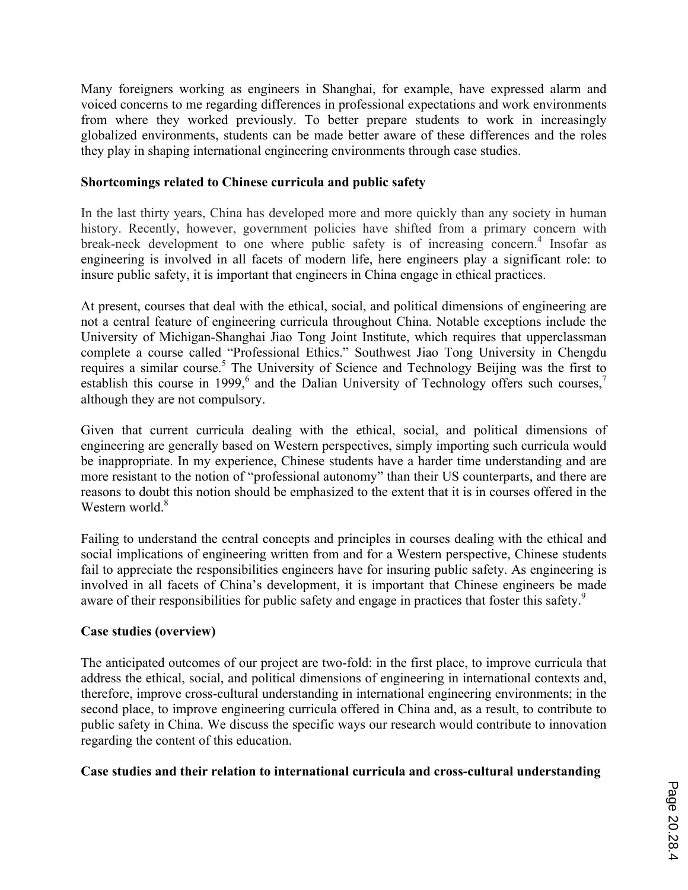Many foreigners working as engineers in Shanghai, for example, have expressed alarm and voiced concerns to me regarding differences in professional expectations and work environments from where they worked previously. To better prepare students to work in increasingly globalized environments, students can be made better aware of these differences and the roles they play in shaping international engineering environments through case studies.

## **Shortcomings related to Chinese curricula and public safety**

In the last thirty years, China has developed more and more quickly than any society in human history. Recently, however, government policies have shifted from a primary concern with break-neck development to one where public safety is of increasing concern. <sup>4</sup> Insofar as engineering is involved in all facets of modern life, here engineers play a significant role: to insure public safety, it is important that engineers in China engage in ethical practices.

At present, courses that deal with the ethical, social, and political dimensions of engineering are not a central feature of engineering curricula throughout China. Notable exceptions include the University of Michigan-Shanghai Jiao Tong Joint Institute, which requires that upperclassman complete a course called "Professional Ethics." Southwest Jiao Tong University in Chengdu requires a similar course.<sup>5</sup> The University of Science and Technology Beijing was the first to establish this course in 1999,<sup>6</sup> and the Dalian University of Technology offers such courses,<sup>7</sup> although they are not compulsory.

Given that current curricula dealing with the ethical, social, and political dimensions of engineering are generally based on Western perspectives, simply importing such curricula would be inappropriate. In my experience, Chinese students have a harder time understanding and are more resistant to the notion of "professional autonomy" than their US counterparts, and there are reasons to doubt this notion should be emphasized to the extent that it is in courses offered in the Western world.<sup>8</sup>

Failing to understand the central concepts and principles in courses dealing with the ethical and social implications of engineering written from and for a Western perspective, Chinese students fail to appreciate the responsibilities engineers have for insuring public safety. As engineering is involved in all facets of China's development, it is important that Chinese engineers be made aware of their responsibilities for public safety and engage in practices that foster this safety.<sup>9</sup>

# **Case studies (overview)**

The anticipated outcomes of our project are two-fold: in the first place, to improve curricula that address the ethical, social, and political dimensions of engineering in international contexts and, therefore, improve cross-cultural understanding in international engineering environments; in the second place, to improve engineering curricula offered in China and, as a result, to contribute to public safety in China. We discuss the specific ways our research would contribute to innovation regarding the content of this education.

# **Case studies and their relation to international curricula and cross-cultural understanding**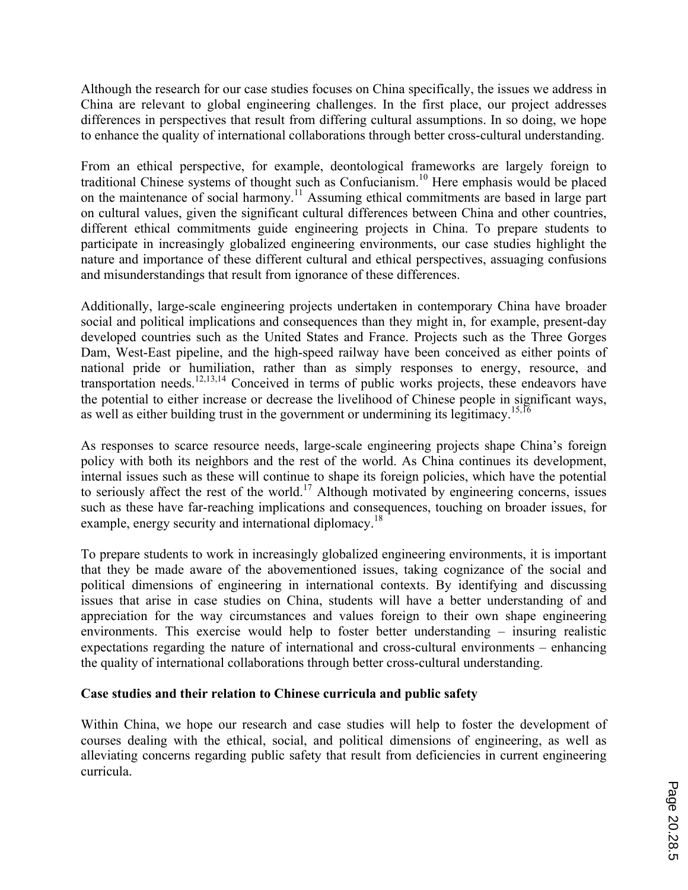Although the research for our case studies focuses on China specifically, the issues we address in China are relevant to global engineering challenges. In the first place, our project addresses differences in perspectives that result from differing cultural assumptions. In so doing, we hope to enhance the quality of international collaborations through better cross-cultural understanding.

From an ethical perspective, for example, deontological frameworks are largely foreign to traditional Chinese systems of thought such as Confucianism. <sup>10</sup> Here emphasis would be placed on the maintenance of social harmony.<sup>11</sup> Assuming ethical commitments are based in large part on cultural values, given the significant cultural differences between China and other countries, different ethical commitments guide engineering projects in China. To prepare students to participate in increasingly globalized engineering environments, our case studies highlight the nature and importance of these different cultural and ethical perspectives, assuaging confusions and misunderstandings that result from ignorance of these differences.

Additionally, large-scale engineering projects undertaken in contemporary China have broader social and political implications and consequences than they might in, for example, present-day developed countries such as the United States and France. Projects such as the Three Gorges Dam, West-East pipeline, and the high-speed railway have been conceived as either points of national pride or humiliation, rather than as simply responses to energy, resource, and transportation needs. 12,13,14 Conceived in terms of public works projects, these endeavors have the potential to either increase or decrease the livelihood of Chinese people in significant ways, as well as either building trust in the government or undermining its legitimacy.<sup>15,16</sup>

As responses to scarce resource needs, large-scale engineering projects shape China's foreign policy with both its neighbors and the rest of the world. As China continues its development, internal issues such as these will continue to shape its foreign policies, which have the potential to seriously affect the rest of the world.<sup>17</sup> Although motivated by engineering concerns, issues such as these have far-reaching implications and consequences, touching on broader issues, for example, energy security and international diplomacy.<sup>18</sup>

To prepare students to work in increasingly globalized engineering environments, it is important that they be made aware of the abovementioned issues, taking cognizance of the social and political dimensions of engineering in international contexts. By identifying and discussing issues that arise in case studies on China, students will have a better understanding of and appreciation for the way circumstances and values foreign to their own shape engineering environments. This exercise would help to foster better understanding – insuring realistic expectations regarding the nature of international and cross-cultural environments – enhancing the quality of international collaborations through better cross-cultural understanding.

## **Case studies and their relation to Chinese curricula and public safety**

Within China, we hope our research and case studies will help to foster the development of courses dealing with the ethical, social, and political dimensions of engineering, as well as alleviating concerns regarding public safety that result from deficiencies in current engineering curricula.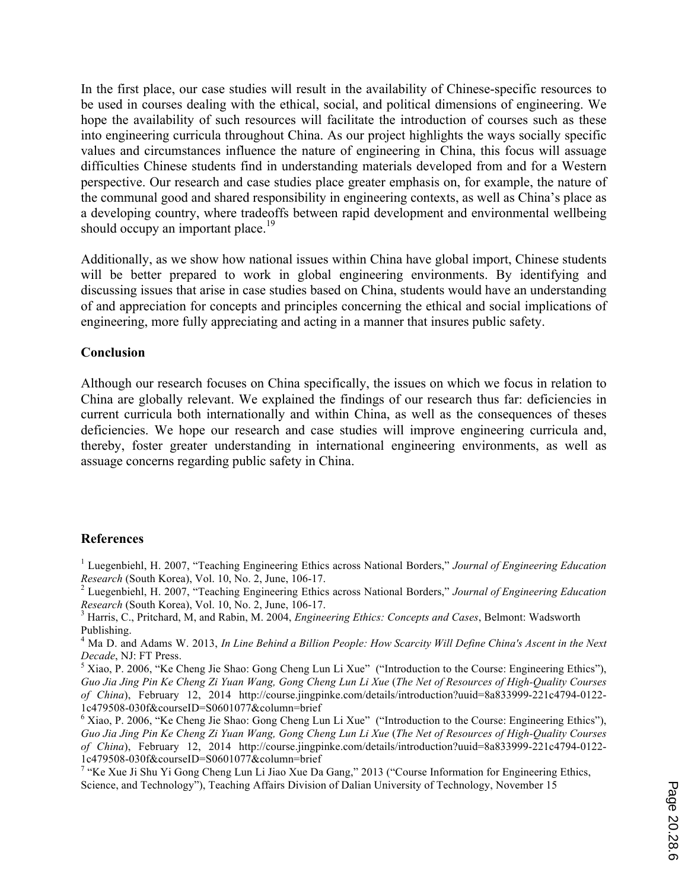In the first place, our case studies will result in the availability of Chinese-specific resources to be used in courses dealing with the ethical, social, and political dimensions of engineering. We hope the availability of such resources will facilitate the introduction of courses such as these into engineering curricula throughout China. As our project highlights the ways socially specific values and circumstances influence the nature of engineering in China, this focus will assuage difficulties Chinese students find in understanding materials developed from and for a Western perspective. Our research and case studies place greater emphasis on, for example, the nature of the communal good and shared responsibility in engineering contexts, as well as China's place as a developing country, where tradeoffs between rapid development and environmental wellbeing should occupy an important place.<sup>19</sup>

Additionally, as we show how national issues within China have global import, Chinese students will be better prepared to work in global engineering environments. By identifying and discussing issues that arise in case studies based on China, students would have an understanding of and appreciation for concepts and principles concerning the ethical and social implications of engineering, more fully appreciating and acting in a manner that insures public safety.

### **Conclusion**

Although our research focuses on China specifically, the issues on which we focus in relation to China are globally relevant. We explained the findings of our research thus far: deficiencies in current curricula both internationally and within China, as well as the consequences of theses deficiencies. We hope our research and case studies will improve engineering curricula and, thereby, foster greater understanding in international engineering environments, as well as assuage concerns regarding public safety in China.

### **References**

<sup>1</sup> Luegenbiehl, H. 2007, "Teaching Engineering Ethics across National Borders," *Journal of Engineering Education Research* (South Korea), Vol. 10, No. 2, June, 106-17. <sup>2</sup> Luegenbiehl, H. 2007, "Teaching Engineering Ethics across National Borders," *Journal of Engineering Education* 

*Research* (South Korea), Vol. 10, No. 2, June, 106-17.<br><sup>3</sup> Harris, C., Pritchard, M, and Rabin, M. 2004, *Engineering Ethics: Concepts and Cases*, Belmont: Wadsworth

Publishing.

<sup>4</sup> Ma D. and Adams W. 2013, *In Line Behind a Billion People: How Scarcity Will Define China's Ascent in the Next Decade, NJ: FT Press.* 

<sup>5</sup> Xiao, P. 2006, "Ke Cheng Jie Shao: Gong Cheng Lun Li Xue" ("Introduction to the Course: Engineering Ethics"), *Guo Jia Jing Pin Ke Cheng Zi Yuan Wang, Gong Cheng Lun Li Xue* (*The Net of Resources of High-Quality Courses of China*), February 12, 2014 http://course.jingpinke.com/details/introduction?uuid=8a833999-221c4794-0122-

 $6\text{ Xiao}, P. 2006, \text{``Ke Cheng Jie Shao:}$  Gong Cheng Lun Li Xue" ("Introduction to the Course: Engineering Ethics"), *Guo Jia Jing Pin Ke Cheng Zi Yuan Wang, Gong Cheng Lun Li Xue* (*The Net of Resources of High-Quality Courses of China*), February 12, 2014 http://course.jingpinke.com/details/introduction?uuid=8a833999-221c4794-0122-1c479508-030f&courseID=S0601077&column=brief

<sup>7</sup> "Ke Xue Ji Shu Yi Gong Cheng Lun Li Jiao Xue Da Gang," 2013 ("Course Information for Engineering Ethics, Science, and Technology"), Teaching Affairs Division of Dalian University of Technology, November 15